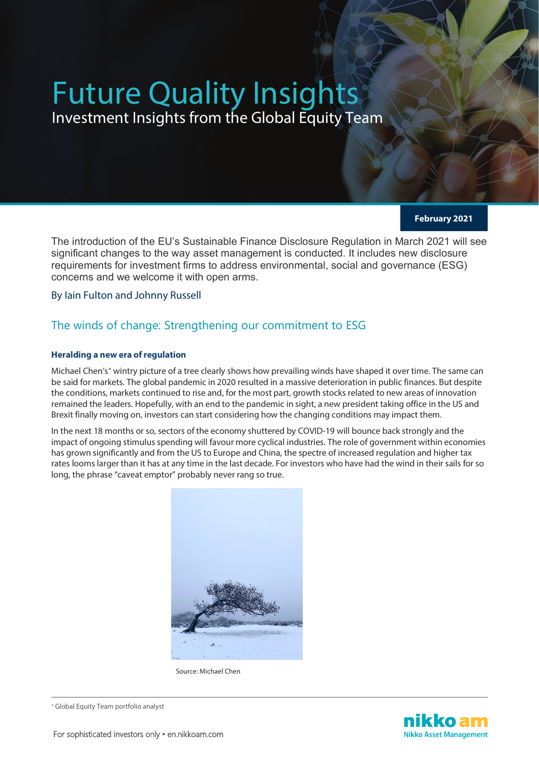# Future Quality Insights

Investment Insights from the Global Equity Team

**February 2021**

The introduction of the EU's Sustainable Finance Disclosure Regulation in March 2021 will see significant changes to the way asset management is conducted. It includes new disclosure requirements for investment firms to address environmental, social and governance (ESG) concerns and we welcome it with open arms.

By Iain Fulton and Johnny Russell

# The winds of change: Strengthening our commitment to ESG

## **Heralding a new era of regulation**

Michael Chen's<sup>\*</sup> wintry picture of a tree clearly shows how prevailing winds have shaped it over time. The same can be said for markets. The global pandemic in 2020 resulted in a massive deterioration in public finances. But despite the conditions, markets continued to rise and, for the most part, growth stocks related to new areas of innovation remained the leaders. Hopefully, with an end to the pandemic in sight, a new president taking office in the US and Brexit finally moving on, investors can start considering how the changing conditions may impact them.

In the next 18 months or so, sectors of the economy shuttered by COVID-19 will bounce back strongly and the impact of ongoing stimulus spending will favour more cyclical industries. The role of government within economies has grown significantly and from the US to Europe and China, the spectre of increased regulation and higher tax rates looms larger than it has at any time in the last decade. For investors who have had the wind in their sails for so long, the phrase "caveat emptor" probably never rang so true.



Source: Michael Chen

<span id="page-0-0"></span><sup>∗</sup> Global Equity Team portfolio analyst

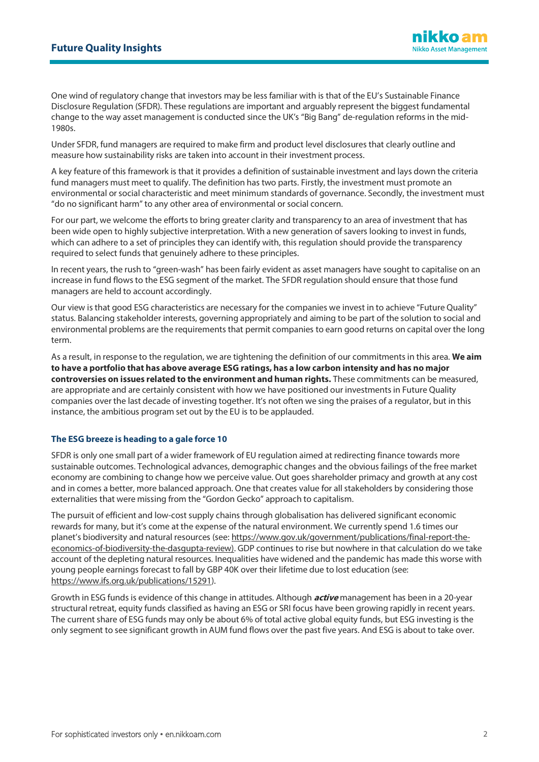One wind of regulatory change that investors may be less familiar with is that of the EU's Sustainable Finance Disclosure Regulation (SFDR). These regulations are important and arguably represent the biggest fundamental change to the way asset management is conducted since the UK's "Big Bang" de-regulation reforms in the mid-1980s.

Under SFDR, fund managers are required to make firm and product level disclosures that clearly outline and measure how sustainability risks are taken into account in their investment process.

A key feature of this framework is that it provides a definition of sustainable investment and lays down the criteria fund managers must meet to qualify. The definition has two parts. Firstly, the investment must promote an environmental or social characteristic and meet minimum standards of governance. Secondly, the investment must "do no significant harm" to any other area of environmental or social concern.

For our part, we welcome the efforts to bring greater clarity and transparency to an area of investment that has been wide open to highly subjective interpretation. With a new generation of savers looking to invest in funds, which can adhere to a set of principles they can identify with, this regulation should provide the transparency required to select funds that genuinely adhere to these principles.

In recent years, the rush to "green-wash" has been fairly evident as asset managers have sought to capitalise on an increase in fund flows to the ESG segment of the market. The SFDR regulation should ensure that those fund managers are held to account accordingly.

Our view is that good ESG characteristics are necessary for the companies we invest in to achieve "Future Quality" status. Balancing stakeholder interests, governing appropriately and aiming to be part of the solution to social and environmental problems are the requirements that permit companies to earn good returns on capital over the long term.

As a result, in response to the regulation, we are tightening the definition of our commitments in this area. **We aim to have a portfolio that has above average ESG ratings, has a low carbon intensity and has no major controversies on issues related to the environment and human rights.** These commitments can be measured, are appropriate and are certainly consistent with how we have positioned our investments in Future Quality companies over the last decade of investing together. It's not often we sing the praises of a regulator, but in this instance, the ambitious program set out by the EU is to be applauded.

## **The ESG breeze is heading to a gale force 10**

SFDR is only one small part of a wider framework of EU regulation aimed at redirecting finance towards more sustainable outcomes. Technological advances, demographic changes and the obvious failings of the free market economy are combining to change how we perceive value. Out goes shareholder primacy and growth at any cost and in comes a better, more balanced approach. One that creates value for all stakeholders by considering those externalities that were missing from the "Gordon Gecko" approach to capitalism.

The pursuit of efficient and low-cost supply chains through globalisation has delivered significant economic rewards for many, but it's come at the expense of the natural environment. We currently spend 1.6 times our planet's biodiversity and natural resources (see: [https://www.gov.uk/government/publications/final-report-the](https://www.gov.uk/government/publications/final-report-the-economics-of-biodiversity-the-dasgupta-review))[economics-of-biodiversity-the-dasgupta-review\).](https://www.gov.uk/government/publications/final-report-the-economics-of-biodiversity-the-dasgupta-review)) GDP continues to rise but nowhere in that calculation do we take account of the depleting natural resources. Inequalities have widened and the pandemic has made this worse with young people earnings forecast to fall by GBP 40K over their lifetime due to lost education (see: [https://www.ifs.org.uk/publications/15291\)](https://www.ifs.org.uk/publications/15291).

Growth in ESG funds is evidence of this change in attitudes. Although **active** management has been in a 20-year structural retreat, equity funds classified as having an ESG or SRI focus have been growing rapidly in recent years. The current share of ESG funds may only be about 6% of total active global equity funds, but ESG investing is the only segment to see significant growth in AUM fund flows over the past five years. And ESG is about to take over.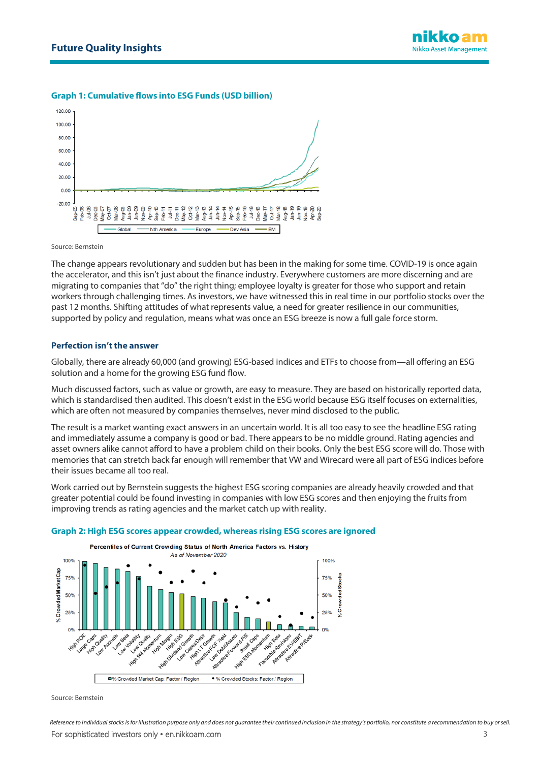## **Graph 1: Cumulative flows into ESG Funds (USD billion)**



Source: Bernstein

The change appears revolutionary and sudden but has been in the making for some time. COVID-19 is once again the accelerator, and this isn't just about the finance industry. Everywhere customers are more discerning and are migrating to companies that "do" the right thing; employee loyalty is greater for those who support and retain workers through challenging times. As investors, we have witnessed this in real time in our portfolio stocks over the past 12 months. Shifting attitudes of what represents value, a need for greater resilience in our communities, supported by policy and regulation, means what was once an ESG breeze is now a full gale force storm.

#### **Perfection isn't the answer**

Globally, there are already 60,000 (and growing) ESG-based indices and ETFs to choose from—all offering an ESG solution and a home for the growing ESG fund flow.

Much discussed factors, such as value or growth, are easy to measure. They are based on historically reported data, which is standardised then audited. This doesn't exist in the ESG world because ESG itself focuses on externalities, which are often not measured by companies themselves, never mind disclosed to the public.

The result is a market wanting exact answers in an uncertain world. It is all too easy to see the headline ESG rating and immediately assume a company is good or bad. There appears to be no middle ground. Rating agencies and asset owners alike cannot afford to have a problem child on their books. Only the best ESG score will do. Those with memories that can stretch back far enough will remember that VW and Wirecard were all part of ESG indices before their issues became all too real.

Work carried out by Bernstein suggests the highest ESG scoring companies are already heavily crowded and that greater potential could be found investing in companies with low ESG scores and then enjoying the fruits from improving trends as rating agencies and the market catch up with reality.



#### **Graph 2: High ESG scores appear crowded, whereas rising ESG scores are ignored**

Source: Bernstein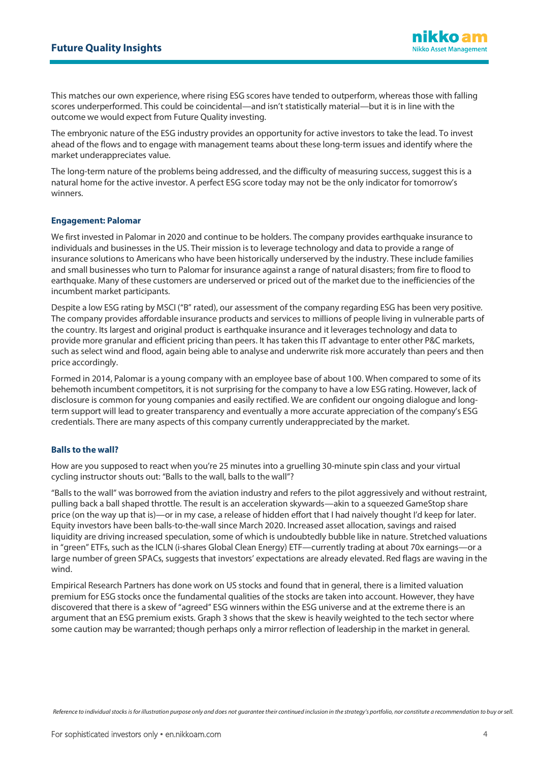This matches our own experience, where rising ESG scores have tended to outperform, whereas those with falling scores underperformed. This could be coincidental—and isn't statistically material—but it is in line with the outcome we would expect from Future Quality investing.

The embryonic nature of the ESG industry provides an opportunity for active investors to take the lead. To invest ahead of the flows and to engage with management teams about these long-term issues and identify where the market underappreciates value.

The long-term nature of the problems being addressed, and the difficulty of measuring success, suggest this is a natural home for the active investor. A perfect ESG score today may not be the only indicator for tomorrow's winners.

#### **Engagement: Palomar**

We first invested in Palomar in 2020 and continue to be holders. The company provides earthquake insurance to individuals and businesses in the US. Their mission is to leverage technology and data to provide a range of insurance solutions to Americans who have been historically underserved by the industry. These include families and small businesses who turn to Palomar for insurance against a range of natural disasters; from fire to flood to earthquake. Many of these customers are underserved or priced out of the market due to the inefficiencies of the incumbent market participants.

Despite a low ESG rating by MSCI ("B" rated), our assessment of the company regarding ESG has been very positive. The company provides affordable insurance products and services to millions of people living in vulnerable parts of the country. Its largest and original product is earthquake insurance and it leverages technology and data to provide more granular and efficient pricing than peers. It has taken this IT advantage to enter other P&C markets, such as select wind and flood, again being able to analyse and underwrite risk more accurately than peers and then price accordingly.

Formed in 2014, Palomar is a young company with an employee base of about 100. When compared to some of its behemoth incumbent competitors, it is not surprising for the company to have a low ESG rating. However, lack of disclosure is common for young companies and easily rectified. We are confident our ongoing dialogue and longterm support will lead to greater transparency and eventually a more accurate appreciation of the company's ESG credentials. There are many aspects of this company currently underappreciated by the market.

#### **Balls to the wall?**

How are you supposed to react when you're 25 minutes into a gruelling 30-minute spin class and your virtual cycling instructor shouts out: "Balls to the wall, balls to the wall"?

"Balls to the wall" was borrowed from the aviation industry and refers to the pilot aggressively and without restraint, pulling back a ball shaped throttle. The result is an acceleration skywards—akin to a squeezed GameStop share price (on the way up that is)—or in my case, a release of hidden effort that I had naively thought I'd keep for later. Equity investors have been balls-to-the-wall since March 2020. Increased asset allocation, savings and raised liquidity are driving increased speculation, some of which is undoubtedly bubble like in nature. Stretched valuations in "green" ETFs, such as the ICLN (i-shares Global Clean Energy) ETF—currently trading at about 70x earnings—or a large number of green SPACs, suggests that investors' expectations are already elevated. Red flags are waving in the wind.

Empirical Research Partners has done work on US stocks and found that in general, there is a limited valuation premium for ESG stocks once the fundamental qualities of the stocks are taken into account. However, they have discovered that there is a skew of "agreed" ESG winners within the ESG universe and at the extreme there is an argument that an ESG premium exists. Graph 3 shows that the skew is heavily weighted to the tech sector where some caution may be warranted; though perhaps only a mirror reflection of leadership in the market in general.

*Reference to individual stocks is for illustration purpose only and does not guarantee their continued inclusion in the strategy's portfolio, nor constitute a recommendation to buy orsell.*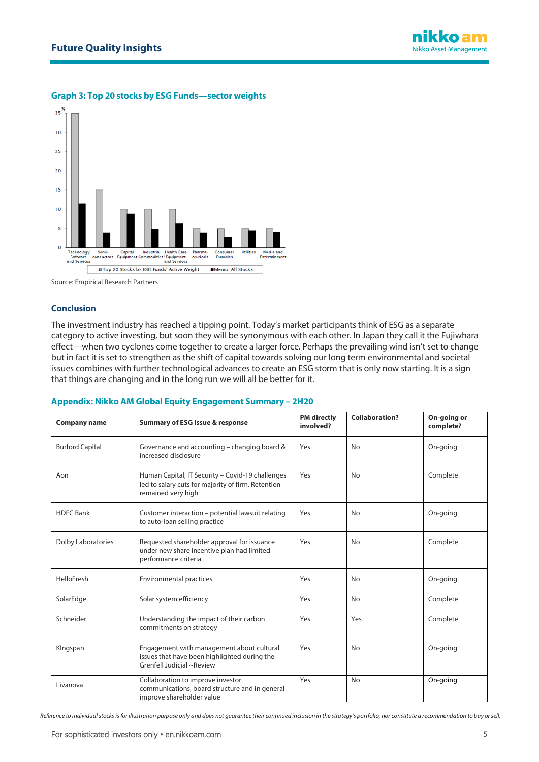

## **Graph 3: Top 20 stocks by ESG Funds—sector weights**

Source: Empirical Research Partners

## **Conclusion**

The investment industry has reached a tipping point. Today's market participants think of ESG as a separate category to active investing, but soon they will be synonymous with each other. In Japan they call it the Fujiwhara effect—when two cyclones come together to create a larger force. Perhaps the prevailing wind isn't set to change but in fact it is set to strengthen as the shift of capital towards solving our long term environmental and societal issues combines with further technological advances to create an ESG storm that is only now starting. It is a sign that things are changing and in the long run we will all be better for it.

#### **Appendix: Nikko AM Global Equity Engagement Summary – 2H20**

| <b>Company name</b>       | <b>Summary of ESG Issue &amp; response</b>                                                                                   | <b>PM</b> directly<br>involved? | <b>Collaboration?</b> | On-going or<br>complete? |
|---------------------------|------------------------------------------------------------------------------------------------------------------------------|---------------------------------|-----------------------|--------------------------|
| <b>Burford Capital</b>    | Governance and accounting - changing board &<br>increased disclosure                                                         | Yes                             | No                    | On-going                 |
| Aon                       | Human Capital, IT Security - Covid-19 challenges<br>led to salary cuts for majority of firm. Retention<br>remained very high | Yes                             | No                    | Complete                 |
| <b>HDFC</b> Bank          | Customer interaction - potential lawsuit relating<br>to auto-loan selling practice                                           | Yes                             | No                    | On-going                 |
| <b>Dolby Laboratories</b> | Requested shareholder approval for issuance<br>under new share incentive plan had limited<br>performance criteria            | Yes                             | No                    | Complete                 |
| HelloFresh                | <b>Environmental practices</b>                                                                                               | Yes                             | No                    | On-going                 |
| SolarEdge                 | Solar system efficiency                                                                                                      | Yes                             | No                    | Complete                 |
| Schneider                 | Understanding the impact of their carbon<br>commitments on strategy                                                          | Yes                             | Yes                   | Complete                 |
| KIngspan                  | Engagement with management about cultural<br>issues that have been highlighted during the<br>Grenfell Judicial ~Review       | Yes                             | No                    | On-going                 |
| Livanova                  | Collaboration to improve investor<br>communications, board structure and in general<br>improve shareholder value             | Yes                             | No                    | On-going                 |

*Reference to individual stocks is for illustration purpose only and does not guarantee their continued inclusion in the strategy's portfolio, nor constitute a recommendation to buy or sell.*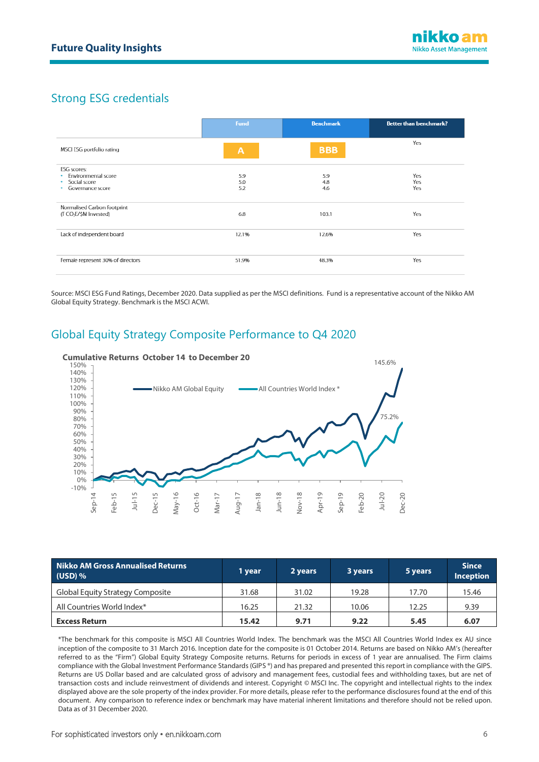# Strong ESG credentials

|                                   | Fund           | <b>Benchmark</b> | <b>Better than benchmark?</b> |
|-----------------------------------|----------------|------------------|-------------------------------|
| MSCI ESG portfolio rating         | $\overline{A}$ | <b>BBB</b>       | Yes                           |
| <b>ESG</b> scores:                |                |                  |                               |
| · Environmental score             | 5.9            | 5.9              | Yes                           |
| · Social score                    | 5.0            | 4.8              | Yes                           |
| Governance score                  | 5.2            | 4.6              | Yes                           |
| Normalised Carbon footprint       |                |                  |                               |
| (TCO <sub>2</sub> E/\$M Invested) | 6.8            | 103.1            | Yes                           |
| Lack of independent board         | 12.1%          | 12.6%            | Yes                           |
| Female represent 30% of directors | 51.9%          | 48.3%            | Yes                           |

Source: MSCI ESG Fund Ratings, December 2020. Data supplied as per the MSCI definitions. Fund is a representative account of the Nikko AM Global Equity Strategy. Benchmark is the MSCI ACWI.

## Global Equity Strategy Composite Performance to Q4 2020



| <b>Nikko AM Gross Annualised Returns</b><br>$(USD)$ % | 1 year | 2 years | 3 years | 5 years | <b>Since</b><br><b>Inception</b> |
|-------------------------------------------------------|--------|---------|---------|---------|----------------------------------|
| Global Equity Strategy Composite                      | 31.68  | 31.02   | 19.28   | 17.70   | 15.46                            |
| All Countries World Index*                            | 16.25  | 21.32   | 10.06   | 12.25   | 9.39                             |
| <b>Excess Return</b>                                  | 15.42  | 9.71    | 9.22    | 5.45    | 6.07                             |

\*The benchmark for this composite is MSCI All Countries World Index. The benchmark was the MSCI All Countries World Index ex AU since inception of the composite to 31 March 2016. Inception date for the composite is 01 October 2014. Returns are based on Nikko AM's (hereafter referred to as the "Firm") Global Equity Strategy Composite returns. Returns for periods in excess of 1 year are annualised. The Firm claims compliance with the Global Investment Performance Standards (GIPS ®) and has prepared and presented this report in compliance with the GIPS. Returns are US Dollar based and are calculated gross of advisory and management fees, custodial fees and withholding taxes, but are net of transaction costs and include reinvestment of dividends and interest. Copyright © MSCI Inc. The copyright and intellectual rights to the index displayed above are the sole property of the index provider. For more details, please refer to the performance disclosures found at the end of this document. Any comparison to reference index or benchmark may have material inherent limitations and therefore should not be relied upon. Data as of 31 December 2020.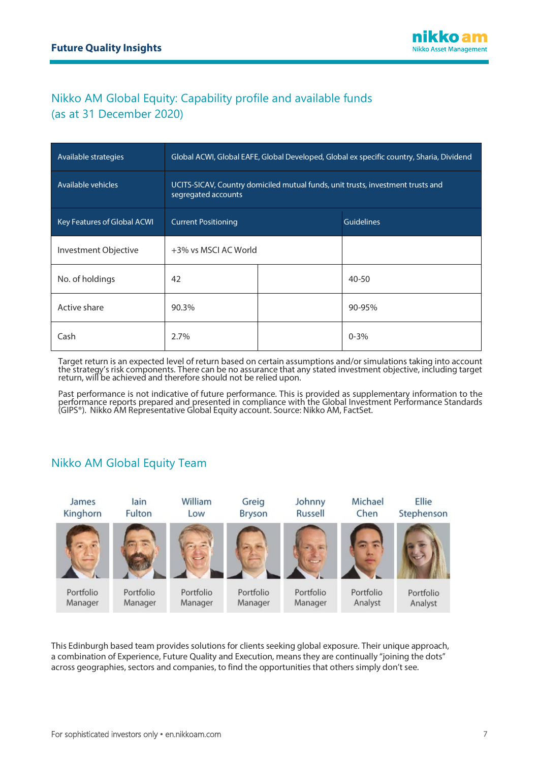# Nikko AM Global Equity: Capability profile and available funds (as at 31 December 2020)

| Available strategies        | Global ACWI, Global EAFE, Global Developed, Global ex specific country, Sharia, Dividend               |  |                   |  |
|-----------------------------|--------------------------------------------------------------------------------------------------------|--|-------------------|--|
| Available vehicles          | UCITS-SICAV, Country domiciled mutual funds, unit trusts, investment trusts and<br>segregated accounts |  |                   |  |
| Key Features of Global ACWI | <b>Current Positioning</b>                                                                             |  | <b>Guidelines</b> |  |
| Investment Objective        | +3% vs MSCI AC World                                                                                   |  |                   |  |
| No. of holdings             | 42                                                                                                     |  | $40 - 50$         |  |
| Active share                | 90.3%                                                                                                  |  | 90-95%            |  |
| Cash                        | 2.7%                                                                                                   |  | $0 - 3\%$         |  |

Target return is an expected level of return based on certain assumptions and/or simulations taking into account<br>the strategy's risk components. There can be no assurance that any stated investment objective, including tar return, will be achieved and therefore should not be relied upon.

Past performance is not indicative of future performance. This is provided as supplementary information to the<br>performance reports prepared and presented in compliance with the Global Investment Performance Standards (GIPS®). Nikko AM Representative Global Equity account. Source: Nikko AM, FactSet.

# Nikko AM Global Equity Team



This Edinburgh based team provides solutions for clients seeking global exposure. Their unique approach, a combination of Experience, Future Quality and Execution, means they are continually "joining the dots" across geographies, sectors and companies, to find the opportunities that others simply don't see.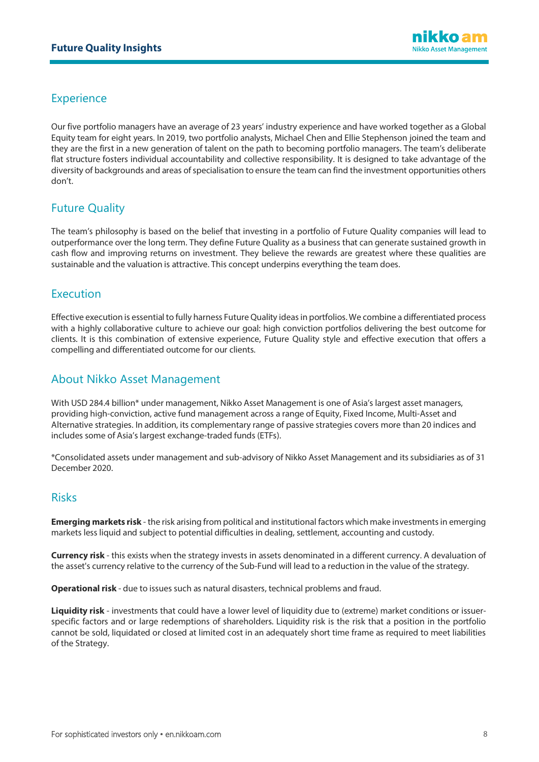## **Experience**

Our five portfolio managers have an average of 23 years' industry experience and have worked together as a Global Equity team for eight years. In 2019, two portfolio analysts, Michael Chen and Ellie Stephenson joined the team and they are the first in a new generation of talent on the path to becoming portfolio managers. The team's deliberate flat structure fosters individual accountability and collective responsibility. It is designed to take advantage of the diversity of backgrounds and areas of specialisation to ensure the team can find the investment opportunities others don't.

## Future Quality

The team's philosophy is based on the belief that investing in a portfolio of Future Quality companies will lead to outperformance over the long term. They define Future Quality as a business that can generate sustained growth in cash flow and improving returns on investment. They believe the rewards are greatest where these qualities are sustainable and the valuation is attractive. This concept underpins everything the team does.

## Execution

Effective execution is essential to fully harness Future Quality ideas in portfolios. We combine a differentiated process with a highly collaborative culture to achieve our goal: high conviction portfolios delivering the best outcome for clients. It is this combination of extensive experience, Future Quality style and effective execution that offers a compelling and differentiated outcome for our clients.

## About Nikko Asset Management

With USD 284.4 billion\* under management, Nikko Asset Management is one of Asia's largest asset managers, providing high-conviction, active fund management across a range of Equity, Fixed Income, Multi-Asset and Alternative strategies. In addition, its complementary range of passive strategies covers more than 20 indices and includes some of Asia's largest exchange-traded funds (ETFs).

\*Consolidated assets under management and sub-advisory of Nikko Asset Management and its subsidiaries as of 31 December 2020.

## Risks

**Emerging markets risk** - the risk arising from political and institutional factors which make investments in emerging markets less liquid and subject to potential difficulties in dealing, settlement, accounting and custody.

**Currency risk** - this exists when the strategy invests in assets denominated in a different currency. A devaluation of the asset's currency relative to the currency of the Sub-Fund will lead to a reduction in the value of the strategy.

**Operational risk** - due to issues such as natural disasters, technical problems and fraud.

**Liquidity risk** - investments that could have a lower level of liquidity due to (extreme) market conditions or issuerspecific factors and or large redemptions of shareholders. Liquidity risk is the risk that a position in the portfolio cannot be sold, liquidated or closed at limited cost in an adequately short time frame as required to meet liabilities of the Strategy.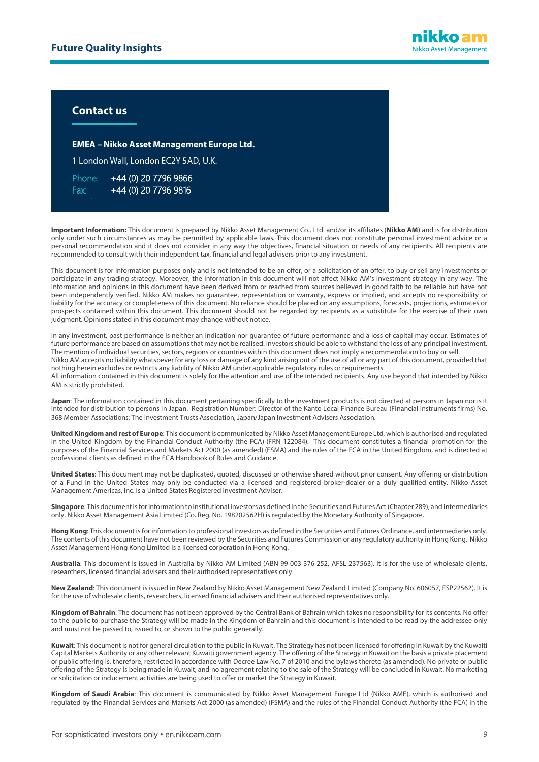## **Contact us**

l

**EMEA – Nikko Asset Management Europe Ltd.**

1 London Wall, London EC2Y 5AD, U.K.

Phone: +44 (0) 20 7796 9866 Fax: [+44 \(0\) 20 7796 9816](mailto:EMEAenquiries@nikkoam.com)

**Important Information:** This document is prepared by Nikko Asset Management Co., Ltd. and/or its affiliates (**Nikko AM**) and is for distribution only under such circumstances as may be permitted by applicable laws. This document does not constitute personal investment advice or a personal recommendation and it does not consider in any way the objectives, financial situation or needs of any recipients. All recipients are recommended to consult with their independent tax, financial and legal advisers prior to any investment.

This document is for information purposes only and is not intended to be an offer, or a solicitation of an offer, to buy or sell any investments or participate in any trading strategy. Moreover, the information in this document will not affect Nikko AM's investment strategy in any way. The information and opinions in this document have been derived from or reached from sources believed in good faith to be reliable but have not been independently verified. Nikko AM makes no guarantee, representation or warranty, express or implied, and accepts no responsibility or liability for the accuracy or completeness of this document. No reliance should be placed on any assumptions, forecasts, projections, estimates or prospects contained within this document. This document should not be regarded by recipients as a substitute for the exercise of their own judgment. Opinions stated in this document may change without notice.

In any investment, past performance is neither an indication nor guarantee of future performance and a loss of capital may occur. Estimates of future performance are based on assumptions that may not be realised. Investors should be able to withstand the loss of any principal investment. The mention of individual securities, sectors, regions or countries within this document does not imply a recommendation to buy or sell. Nikko AM accepts no liability whatsoever for any loss or damage of any kind arising out of the use of all or any part of this document, provided that nothing herein excludes or restricts any liability of Nikko AM under applicable regulatory rules or requirements. All information contained in this document is solely for the attention and use of the intended recipients. Any use beyond that intended by Nikko AM is strictly prohibited.

**Japan**: The information contained in this document pertaining specifically to the investment products is not directed at persons in Japan nor is it intended for distribution to persons in Japan. Registration Number: Director of the Kanto Local Finance Bureau (Financial Instruments firms) No. 368 Member Associations: The Investment Trusts Association, Japan/Japan Investment Advisers Association.

**United Kingdom and rest of Europe**: This document is communicated by Nikko Asset Management Europe Ltd, which is authorised and regulated in the United Kingdom by the Financial Conduct Authority (the FCA) (FRN 122084). This document constitutes a financial promotion for the purposes of the Financial Services and Markets Act 2000 (as amended) (FSMA) and the rules of the FCA in the United Kingdom, and is directed at professional clients as defined in the FCA Handbook of Rules and Guidance.

**United States**: This document may not be duplicated, quoted, discussed or otherwise shared without prior consent. Any offering or distribution of a Fund in the United States may only be conducted via a licensed and registered broker-dealer or a duly qualified entity. Nikko Asset Management Americas, Inc. is a United States Registered Investment Adviser.

**Singapore**: This document is for information to institutional investors as defined in the Securities and Futures Act (Chapter 289), and intermediaries only. Nikko Asset Management Asia Limited (Co. Reg. No. 198202562H) is regulated by the Monetary Authority of Singapore.

**Hong Kong**: This document is for information to professional investors as defined in the Securities and Futures Ordinance, and intermediaries only. The contents of this document have not been reviewed by the Securities and Futures Commission or any regulatory authority in Hong Kong. Nikko Asset Management Hong Kong Limited is a licensed corporation in Hong Kong.

**Australia**: This document is issued in Australia by Nikko AM Limited (ABN 99 003 376 252, AFSL 237563). It is for the use of wholesale clients, researchers, licensed financial advisers and their authorised representatives only.

**New Zealand**: This document is issued in New Zealand by Nikko Asset Management New Zealand Limited (Company No. 606057, FSP22562). It is for the use of wholesale clients, researchers, licensed financial advisers and their authorised representatives only.

**Kingdom of Bahrain**: The document has not been approved by the Central Bank of Bahrain which takes no responsibility for its contents. No offer to the public to purchase the Strategy will be made in the Kingdom of Bahrain and this document is intended to be read by the addressee only and must not be passed to, issued to, or shown to the public generally.

**Kuwait**: This document is not for general circulation to the public in Kuwait. The Strategy has not been licensed for offering in Kuwait by the Kuwaiti Capital Markets Authority or any other relevant Kuwaiti government agency. The offering of the Strategy in Kuwait on the basis a private placement or public offering is, therefore, restricted in accordance with Decree Law No. 7 of 2010 and the bylaws thereto (as amended). No private or public offering of the Strategy is being made in Kuwait, and no agreement relating to the sale of the Strategy will be concluded in Kuwait. No marketing or solicitation or inducement activities are being used to offer or market the Strategy in Kuwait.

**Kingdom of Saudi Arabia**: This document is communicated by Nikko Asset Management Europe Ltd (Nikko AME), which is authorised and regulated by the Financial Services and Markets Act 2000 (as amended) (FSMA) and the rules of the Financial Conduct Authority (the FCA) in the